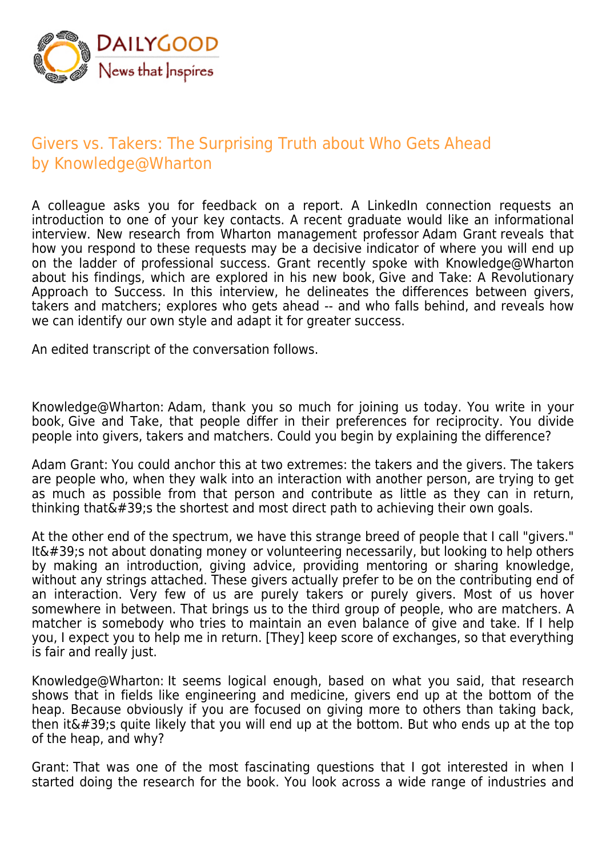

## Givers vs. Takers: The Surprising Truth about Who Gets Ahead by Knowledge@Wharton

A colleague asks you for feedback on a report. A LinkedIn connection requests an introduction to one of your key contacts. A recent graduate would like an informational interview. New research from Wharton management professor Adam Grant reveals that how you respond to these requests may be a decisive indicator of where you will end up on the ladder of professional success. Grant recently spoke with Knowledge@Wharton about his findings, which are explored in his new book, Give and Take: A Revolutionary Approach to Success. In this interview, he delineates the differences between givers, takers and matchers; explores who gets ahead -- and who falls behind, and reveals how we can identify our own style and adapt it for greater success.

An edited transcript of the conversation follows.

Knowledge@Wharton: Adam, thank you so much for joining us today. You write in your book, Give and Take, that people differ in their preferences for reciprocity. You divide people into givers, takers and matchers. Could you begin by explaining the difference?

Adam Grant: You could anchor this at two extremes: the takers and the givers. The takers are people who, when they walk into an interaction with another person, are trying to get as much as possible from that person and contribute as little as they can in return, thinking that  $\&\#39$ ; the shortest and most direct path to achieving their own goals.

At the other end of the spectrum, we have this strange breed of people that I call "givers." It $\&\#39$ ; not about donating money or volunteering necessarily, but looking to help others by making an introduction, giving advice, providing mentoring or sharing knowledge, without any strings attached. These givers actually prefer to be on the contributing end of an interaction. Very few of us are purely takers or purely givers. Most of us hover somewhere in between. That brings us to the third group of people, who are matchers. A matcher is somebody who tries to maintain an even balance of give and take. If I help you, I expect you to help me in return. [They] keep score of exchanges, so that everything is fair and really just.

Knowledge@Wharton: It seems logical enough, based on what you said, that research shows that in fields like engineering and medicine, givers end up at the bottom of the heap. Because obviously if you are focused on giving more to others than taking back, then it's quite likely that you will end up at the bottom. But who ends up at the top of the heap, and why?

Grant: That was one of the most fascinating questions that I got interested in when I started doing the research for the book. You look across a wide range of industries and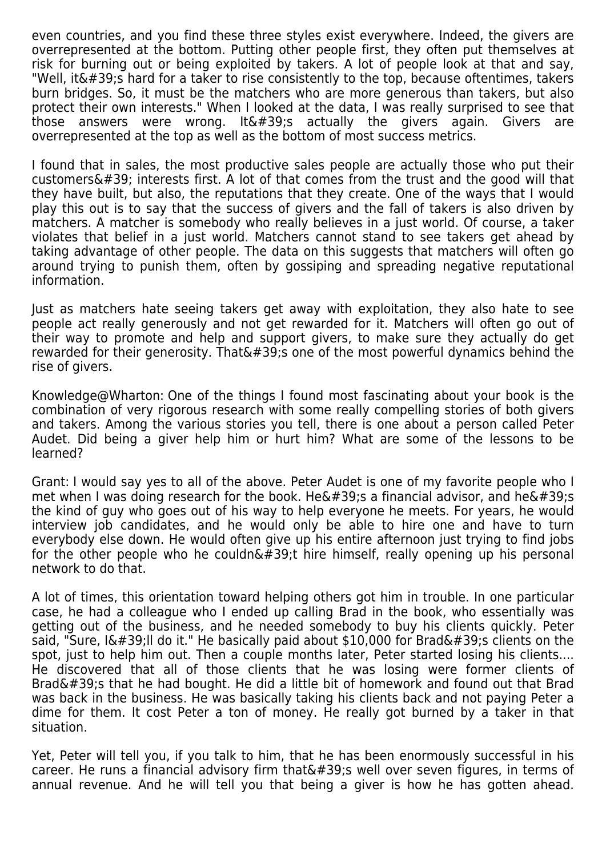even countries, and you find these three styles exist everywhere. Indeed, the givers are overrepresented at the bottom. Putting other people first, they often put themselves at risk for burning out or being exploited by takers. A lot of people look at that and say, "Well, it  $\&\#39$ ; hard for a taker to rise consistently to the top, because oftentimes, takers burn bridges. So, it must be the matchers who are more generous than takers, but also protect their own interests." When I looked at the data, I was really surprised to see that those answers were wrong. It  $\&\#39$ ; actually the givers again. Givers are overrepresented at the top as well as the bottom of most success metrics.

I found that in sales, the most productive sales people are actually those who put their customers $'$ ; interests first. A lot of that comes from the trust and the good will that they have built, but also, the reputations that they create. One of the ways that I would play this out is to say that the success of givers and the fall of takers is also driven by matchers. A matcher is somebody who really believes in a just world. Of course, a taker violates that belief in a just world. Matchers cannot stand to see takers get ahead by taking advantage of other people. The data on this suggests that matchers will often go around trying to punish them, often by gossiping and spreading negative reputational information.

Just as matchers hate seeing takers get away with exploitation, they also hate to see people act really generously and not get rewarded for it. Matchers will often go out of their way to promote and help and support givers, to make sure they actually do get rewarded for their generosity. That  $439$ : one of the most powerful dynamics behind the rise of givers.

Knowledge@Wharton: One of the things I found most fascinating about your book is the combination of very rigorous research with some really compelling stories of both givers and takers. Among the various stories you tell, there is one about a person called Peter Audet. Did being a giver help him or hurt him? What are some of the lessons to be learned?

Grant: I would say yes to all of the above. Peter Audet is one of my favorite people who I met when I was doing research for the book. He&#39:s a financial advisor, and he&#39:s the kind of guy who goes out of his way to help everyone he meets. For years, he would interview job candidates, and he would only be able to hire one and have to turn everybody else down. He would often give up his entire afternoon just trying to find jobs for the other people who he couldn $\&\#39$ ; hire himself, really opening up his personal network to do that.

A lot of times, this orientation toward helping others got him in trouble. In one particular case, he had a colleague who I ended up calling Brad in the book, who essentially was getting out of the business, and he needed somebody to buy his clients quickly. Peter said, "Sure, I'II do it." He basically paid about \$10,000 for Brad's clients on the spot, just to help him out. Then a couple months later, Peter started losing his clients.... He discovered that all of those clients that he was losing were former clients of Brad $'$ ; that he had bought. He did a little bit of homework and found out that Brad was back in the business. He was basically taking his clients back and not paying Peter a dime for them. It cost Peter a ton of money. He really got burned by a taker in that situation.

Yet, Peter will tell you, if you talk to him, that he has been enormously successful in his career. He runs a financial advisory firm that  $\&\#39$ ; well over seven figures, in terms of annual revenue. And he will tell you that being a giver is how he has gotten ahead.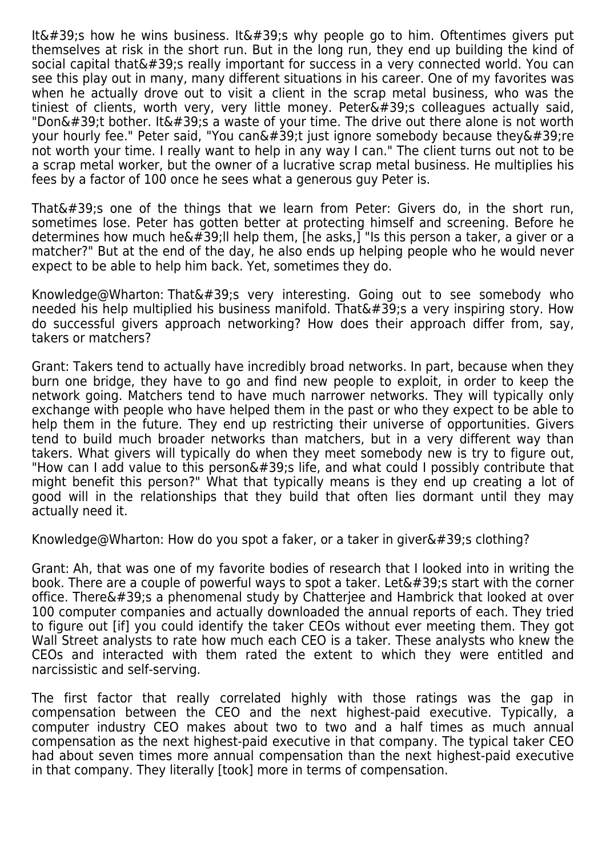It' how he wins business. It' why people go to him. Oftentimes givers put themselves at risk in the short run. But in the long run, they end up building the kind of social capital that  $439$ : really important for success in a very connected world. You can see this play out in many, many different situations in his career. One of my favorites was when he actually drove out to visit a client in the scrap metal business, who was the tiniest of clients, worth very, very little money. Peter $\&\#39$ ; colleagues actually said, "Don $'$ ;t bother. It $'$ ;s a waste of your time. The drive out there alone is not worth your hourly fee." Peter said, "You can $\&\#39$ ;t just ignore somebody because they $\&\#39$ ; re not worth your time. I really want to help in any way I can." The client turns out not to be a scrap metal worker, but the owner of a lucrative scrap metal business. He multiplies his fees by a factor of 100 once he sees what a generous guy Peter is.

That $\&\#39$ :s one of the things that we learn from Peter: Givers do, in the short run, sometimes lose. Peter has gotten better at protecting himself and screening. Before he determines how much he  $\&\#39$ ; Il help them, [he asks,] "Is this person a taker, a giver or a matcher?" But at the end of the day, he also ends up helping people who he would never expect to be able to help him back. Yet, sometimes they do.

Knowledge@Wharton: That $'$ ; very interesting. Going out to see somebody who needed his help multiplied his business manifold. That  $\&\#39$ ; a very inspiring story. How do successful givers approach networking? How does their approach differ from, say, takers or matchers?

Grant: Takers tend to actually have incredibly broad networks. In part, because when they burn one bridge, they have to go and find new people to exploit, in order to keep the network going. Matchers tend to have much narrower networks. They will typically only exchange with people who have helped them in the past or who they expect to be able to help them in the future. They end up restricting their universe of opportunities. Givers tend to build much broader networks than matchers, but in a very different way than takers. What givers will typically do when they meet somebody new is try to figure out, "How can I add value to this person $'$ ;s life, and what could I possibly contribute that might benefit this person?" What that typically means is they end up creating a lot of good will in the relationships that they build that often lies dormant until they may actually need it.

Knowledge@Wharton: How do you spot a faker, or a taker in giver $&\#39$ ; clothing?

Grant: Ah, that was one of my favorite bodies of research that I looked into in writing the book. There are a couple of powerful ways to spot a taker. Let  $\&\#39$ ; sstart with the corner office. There's a phenomenal study by Chatteriee and Hambrick that looked at over 100 computer companies and actually downloaded the annual reports of each. They tried to figure out [if] you could identify the taker CEOs without ever meeting them. They got Wall Street analysts to rate how much each CEO is a taker. These analysts who knew the CEOs and interacted with them rated the extent to which they were entitled and narcissistic and self-serving.

The first factor that really correlated highly with those ratings was the gap in compensation between the CEO and the next highest-paid executive. Typically, a computer industry CEO makes about two to two and a half times as much annual compensation as the next highest-paid executive in that company. The typical taker CEO had about seven times more annual compensation than the next highest-paid executive in that company. They literally [took] more in terms of compensation.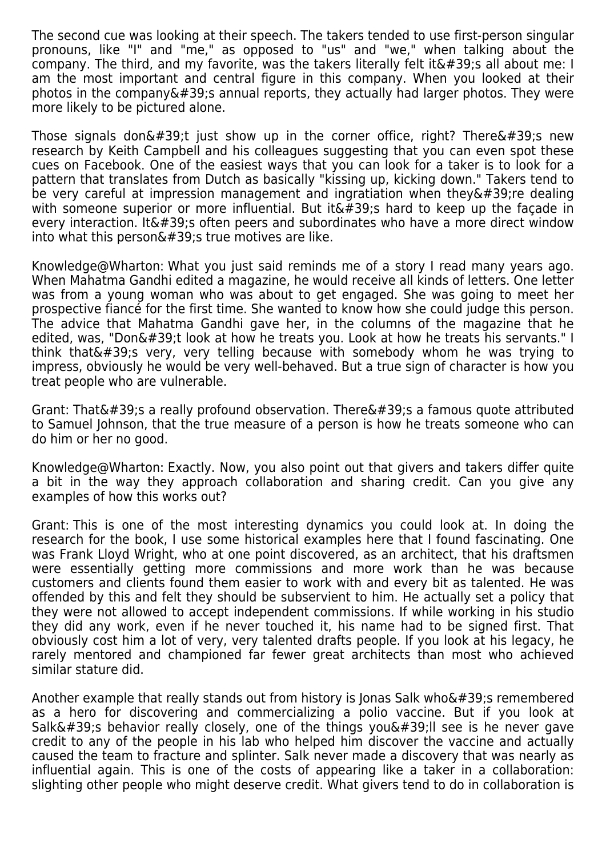The second cue was looking at their speech. The takers tended to use first-person singular pronouns, like "I" and "me," as opposed to "us" and "we," when talking about the company. The third, and my favorite, was the takers literally felt it  $\&\#39$ : all about me: I am the most important and central figure in this company. When you looked at their  $photos$  in the company  $\&\#39$ ; annual reports, they actually had larger photos. They were more likely to be pictured alone.

Those signals don $\&\#39$ ;t just show up in the corner office, right? There $\&\#39$ ;s new research by Keith Campbell and his colleagues suggesting that you can even spot these cues on Facebook. One of the easiest ways that you can look for a taker is to look for a pattern that translates from Dutch as basically "kissing up, kicking down." Takers tend to be very careful at impression management and ingratiation when they  $\&\#39$ ; re dealing with someone superior or more influential. But it  $\&\#39$ ; hard to keep up the façade in every interaction. It  $\&\#39$ ; often peers and subordinates who have a more direct window into what this person $\&\#39$ ; true motives are like.

Knowledge@Wharton: What you just said reminds me of a story I read many years ago. When Mahatma Gandhi edited a magazine, he would receive all kinds of letters. One letter was from a young woman who was about to get engaged. She was going to meet her prospective fiancé for the first time. She wanted to know how she could judge this person. The advice that Mahatma Gandhi gave her, in the columns of the magazine that he edited, was, "Don't look at how he treats you. Look at how he treats his servants." I think that $'$ :s very, very telling because with somebody whom he was trying to impress, obviously he would be very well-behaved. But a true sign of character is how you treat people who are vulnerable.

Grant: That's a really profound observation. There's a famous quote attributed to Samuel Johnson, that the true measure of a person is how he treats someone who can do him or her no good.

Knowledge@Wharton: Exactly. Now, you also point out that givers and takers differ quite a bit in the way they approach collaboration and sharing credit. Can you give any examples of how this works out?

Grant: This is one of the most interesting dynamics you could look at. In doing the research for the book, I use some historical examples here that I found fascinating. One was Frank Lloyd Wright, who at one point discovered, as an architect, that his draftsmen were essentially getting more commissions and more work than he was because customers and clients found them easier to work with and every bit as talented. He was offended by this and felt they should be subservient to him. He actually set a policy that they were not allowed to accept independent commissions. If while working in his studio they did any work, even if he never touched it, his name had to be signed first. That obviously cost him a lot of very, very talented drafts people. If you look at his legacy, he rarely mentored and championed far fewer great architects than most who achieved similar stature did.

Another example that really stands out from history is Jonas Salk who $'$ ; remembered as a hero for discovering and commercializing a polio vaccine. But if you look at Salk's behavior really closely, one of the things you' I see is he never gave credit to any of the people in his lab who helped him discover the vaccine and actually caused the team to fracture and splinter. Salk never made a discovery that was nearly as influential again. This is one of the costs of appearing like a taker in a collaboration: slighting other people who might deserve credit. What givers tend to do in collaboration is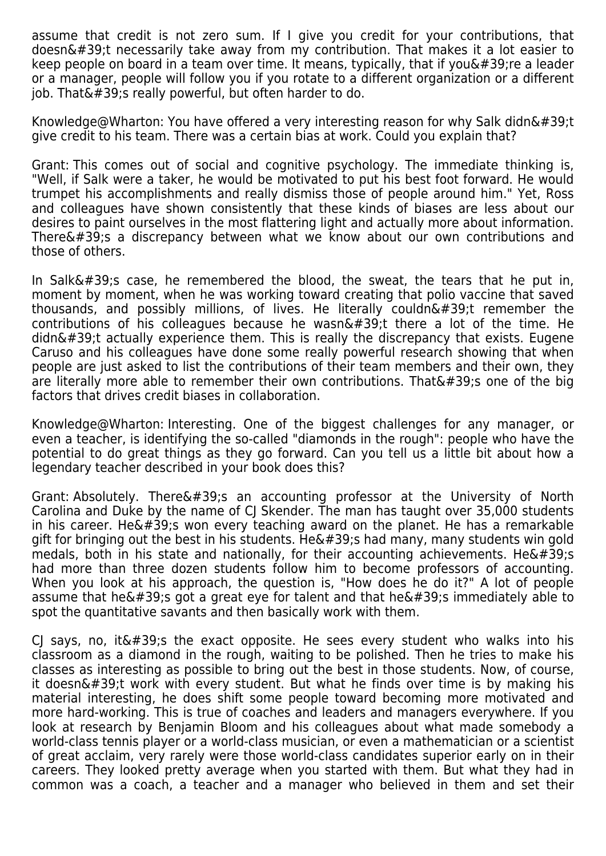assume that credit is not zero sum. If I give you credit for your contributions, that  $d$ oesn $\&\#39$ ;t necessarily take away from my contribution. That makes it a lot easier to keep people on board in a team over time. It means, typically, that if you  $\&\#39$ : re a leader or a manager, people will follow you if you rotate to a different organization or a different job. That $\&\#39$ ; really powerful, but often harder to do.

Knowledge@Wharton: You have offered a very interesting reason for why Salk didn't give credit to his team. There was a certain bias at work. Could you explain that?

Grant: This comes out of social and cognitive psychology. The immediate thinking is, "Well, if Salk were a taker, he would be motivated to put his best foot forward. He would trumpet his accomplishments and really dismiss those of people around him." Yet, Ross and colleagues have shown consistently that these kinds of biases are less about our desires to paint ourselves in the most flattering light and actually more about information. There $\&\#39$ ; a discrepancy between what we know about our own contributions and those of others.

In Salk $&\#39$ ; case, he remembered the blood, the sweat, the tears that he put in, moment by moment, when he was working toward creating that polio vaccine that saved thousands, and possibly millions, of lives. He literally couldn $\&\#39$ ; tremember the contributions of his colleagues because he wasn $\&\#39$ ; there a lot of the time. He  $d$ didn $\&\#39$ ;t actually experience them. This is really the discrepancy that exists. Eugene Caruso and his colleagues have done some really powerful research showing that when people are just asked to list the contributions of their team members and their own, they are literally more able to remember their own contributions. That  $\&\#39$ ; one of the big factors that drives credit biases in collaboration.

Knowledge@Wharton: Interesting. One of the biggest challenges for any manager, or even a teacher, is identifying the so-called "diamonds in the rough": people who have the potential to do great things as they go forward. Can you tell us a little bit about how a legendary teacher described in your book does this?

Grant: Absolutely. There's an accounting professor at the University of North Carolina and Duke by the name of CJ Skender. The man has taught over 35,000 students in his career. He $\&\#39$ ; won every teaching award on the planet. He has a remarkable gift for bringing out the best in his students. He $\&\#39$ ; had many, many students win gold medals, both in his state and nationally, for their accounting achievements. He& $\#39$ ;s had more than three dozen students follow him to become professors of accounting. When you look at his approach, the question is, "How does he do it?" A lot of people assume that he $'$ ; got a great eye for talent and that he $'$ ; immediately able to spot the quantitative savants and then basically work with them.

CJ says, no, it  $\&\#39$ ; the exact opposite. He sees every student who walks into his classroom as a diamond in the rough, waiting to be polished. Then he tries to make his classes as interesting as possible to bring out the best in those students. Now, of course, it doesn $\&\#39$ ;t work with every student. But what he finds over time is by making his material interesting, he does shift some people toward becoming more motivated and more hard-working. This is true of coaches and leaders and managers everywhere. If you look at research by Benjamin Bloom and his colleagues about what made somebody a world-class tennis player or a world-class musician, or even a mathematician or a scientist of great acclaim, very rarely were those world-class candidates superior early on in their careers. They looked pretty average when you started with them. But what they had in common was a coach, a teacher and a manager who believed in them and set their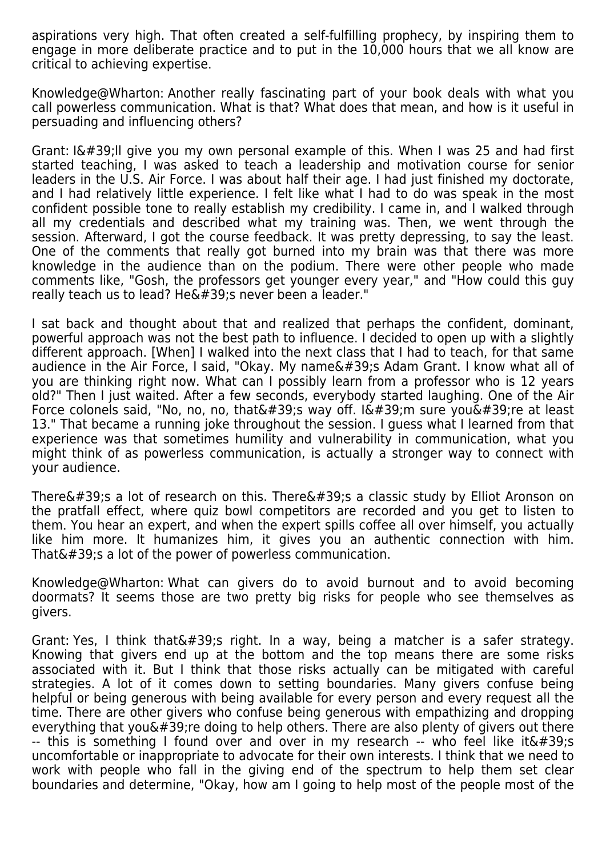aspirations very high. That often created a self-fulfilling prophecy, by inspiring them to engage in more deliberate practice and to put in the 10,000 hours that we all know are critical to achieving expertise.

Knowledge@Wharton: Another really fascinating part of your book deals with what you call powerless communication. What is that? What does that mean, and how is it useful in persuading and influencing others?

Grant:  $I\&\#39$ ; Il give you my own personal example of this. When I was 25 and had first started teaching, I was asked to teach a leadership and motivation course for senior leaders in the U.S. Air Force. I was about half their age. I had just finished my doctorate, and I had relatively little experience. I felt like what I had to do was speak in the most confident possible tone to really establish my credibility. I came in, and I walked through all my credentials and described what my training was. Then, we went through the session. Afterward, I got the course feedback. It was pretty depressing, to say the least. One of the comments that really got burned into my brain was that there was more knowledge in the audience than on the podium. There were other people who made comments like, "Gosh, the professors get younger every year," and "How could this guy really teach us to lead? He' snever been a leader."

I sat back and thought about that and realized that perhaps the confident, dominant, powerful approach was not the best path to influence. I decided to open up with a slightly different approach. [When] I walked into the next class that I had to teach, for that same audience in the Air Force, I said, "Okay. My name $\&\#39$ ;s Adam Grant. I know what all of you are thinking right now. What can I possibly learn from a professor who is 12 years old?" Then I just waited. After a few seconds, everybody started laughing. One of the Air Force colonels said, "No, no, no, that $'$ ; way off. I $'$ ; m sure you $'$ ; re at least 13." That became a running joke throughout the session. I guess what I learned from that experience was that sometimes humility and vulnerability in communication, what you might think of as powerless communication, is actually a stronger way to connect with your audience.

There $\&\#39$ :s a lot of research on this. There $\&\#39$ :s a classic study by Elliot Aronson on the pratfall effect, where quiz bowl competitors are recorded and you get to listen to them. You hear an expert, and when the expert spills coffee all over himself, you actually like him more. It humanizes him, it gives you an authentic connection with him. That $'$ ; s a lot of the power of powerless communication.

Knowledge@Wharton: What can givers do to avoid burnout and to avoid becoming doormats? It seems those are two pretty big risks for people who see themselves as givers.

Grant: Yes, I think that $\&\#39$ ; right. In a way, being a matcher is a safer strategy. Knowing that givers end up at the bottom and the top means there are some risks associated with it. But I think that those risks actually can be mitigated with careful strategies. A lot of it comes down to setting boundaries. Many givers confuse being helpful or being generous with being available for every person and every request all the time. There are other givers who confuse being generous with empathizing and dropping everything that you $\&\#39$ ; re doing to help others. There are also plenty of givers out there  $-$  this is something I found over and over in my research  $-$  who feel like it $\&\#39$ ; uncomfortable or inappropriate to advocate for their own interests. I think that we need to work with people who fall in the giving end of the spectrum to help them set clear boundaries and determine, "Okay, how am I going to help most of the people most of the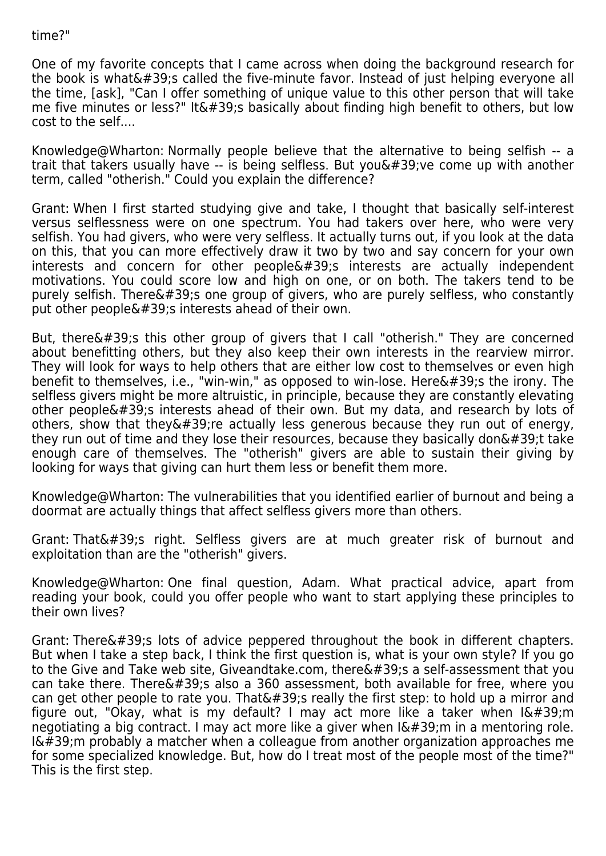## time?"

One of my favorite concepts that I came across when doing the background research for the book is what  $\&\#39$ ; called the five-minute favor. Instead of just helping everyone all the time, [ask], "Can I offer something of unique value to this other person that will take me five minutes or less?" It's basically about finding high benefit to others, but low cost to the self....

Knowledge@Wharton: Normally people believe that the alternative to being selfish -- a trait that takers usually have  $-$  is being selfless. But you $\&\#39$ ; ve come up with another term, called "otherish." Could you explain the difference?

Grant: When I first started studying give and take, I thought that basically self-interest versus selflessness were on one spectrum. You had takers over here, who were very selfish. You had givers, who were very selfless. It actually turns out, if you look at the data on this, that you can more effectively draw it two by two and say concern for your own interests and concern for other  $people'$ s interests are actually independent motivations. You could score low and high on one, or on both. The takers tend to be purely selfish. There $\&\#39$ ; one group of givers, who are purely selfless, who constantly put other people $'$ ; interests ahead of their own.

But, there $\&\#39$ ; this other group of givers that I call "otherish." They are concerned about benefitting others, but they also keep their own interests in the rearview mirror. They will look for ways to help others that are either low cost to themselves or even high benefit to themselves, i.e., "win-win," as opposed to win-lose. Here $&\#39$ ; the irony. The selfless givers might be more altruistic, in principle, because they are constantly elevating other people's interests ahead of their own. But my data, and research by lots of others, show that they  $\&\#39$ ; re actually less generous because they run out of energy, they run out of time and they lose their resources, because they basically don $'$ ; ttake enough care of themselves. The "otherish" givers are able to sustain their giving by looking for ways that giving can hurt them less or benefit them more.

Knowledge@Wharton: The vulnerabilities that you identified earlier of burnout and being a doormat are actually things that affect selfless givers more than others.

Grant: That's right. Selfless givers are at much greater risk of burnout and exploitation than are the "otherish" givers.

Knowledge@Wharton: One final question, Adam. What practical advice, apart from reading your book, could you offer people who want to start applying these principles to their own lives?

Grant: There $&\#39$ ; lots of advice peppered throughout the book in different chapters. But when I take a step back, I think the first question is, what is your own style? If you go to the Give and Take web site, Giveandtake.com, there  $\&\#39$ ; a self-assessment that you can take there. There  $\&\#39$ ; also a 360 assessment, both available for free, where you can get other people to rate you. That's really the first step: to hold up a mirror and figure out, "Okay, what is my default? I may act more like a taker when  $I\'$ ;m negotiating a big contract. I may act more like a giver when  $I\'$ ; m in a mentoring role.  $I\'$ ; m probably a matcher when a colleague from another organization approaches me for some specialized knowledge. But, how do I treat most of the people most of the time?" This is the first step.